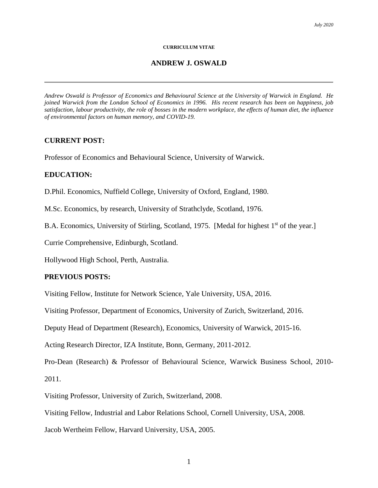#### **CURRICULUM VITAE**

#### **ANDREW J. OSWALD**

*Andrew Oswald is Professor of Economics and Behavioural Science at the University of Warwick in England. He joined Warwick from the London School of Economics in 1996. His recent research has been on happiness, job satisfaction, labour productivity, the role of bosses in the modern workplace, the effects of human diet, the influence of environmental factors on human memory, and COVID-19.* 

#### **CURRENT POST:**

Professor of Economics and Behavioural Science, University of Warwick.

#### **EDUCATION:**

D.Phil. Economics, Nuffield College, University of Oxford, England, 1980.

M.Sc. Economics, by research, University of Strathclyde, Scotland, 1976.

B.A. Economics, University of Stirling, Scotland, 1975. [Medal for highest 1<sup>st</sup> of the year.]

Currie Comprehensive, Edinburgh, Scotland.

Hollywood High School, Perth, Australia.

#### **PREVIOUS POSTS:**

Visiting Fellow, Institute for Network Science, Yale University, USA, 2016.

Visiting Professor, Department of Economics, University of Zurich, Switzerland, 2016.

Deputy Head of Department (Research), Economics, University of Warwick, 2015-16.

Acting Research Director, IZA Institute, Bonn, Germany, 2011-2012.

Pro-Dean (Research) & Professor of Behavioural Science, Warwick Business School, 2010- 2011.

Visiting Professor, University of Zurich, Switzerland, 2008.

Visiting Fellow, Industrial and Labor Relations School, Cornell University, USA, 2008.

Jacob Wertheim Fellow, Harvard University, USA, 2005.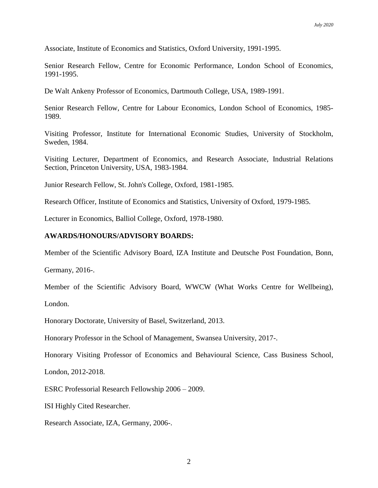Associate, Institute of Economics and Statistics, Oxford University, 1991-1995.

Senior Research Fellow, Centre for Economic Performance, London School of Economics, 1991-1995.

De Walt Ankeny Professor of Economics, Dartmouth College, USA, 1989-1991.

Senior Research Fellow, Centre for Labour Economics, London School of Economics, 1985- 1989.

Visiting Professor, Institute for International Economic Studies, University of Stockholm, Sweden, 1984.

Visiting Lecturer, Department of Economics, and Research Associate, Industrial Relations Section, Princeton University, USA, 1983-1984.

Junior Research Fellow, St. John's College, Oxford, 1981-1985.

Research Officer, Institute of Economics and Statistics, University of Oxford, 1979-1985.

Lecturer in Economics, Balliol College, Oxford, 1978-1980.

#### **AWARDS/HONOURS/ADVISORY BOARDS:**

Member of the Scientific Advisory Board, IZA Institute and Deutsche Post Foundation, Bonn,

Germany, 2016-.

Member of the Scientific Advisory Board, WWCW (What Works Centre for Wellbeing),

London.

Honorary Doctorate, University of Basel, Switzerland, 2013.

Honorary Professor in the School of Management, Swansea University, 2017-.

Honorary Visiting Professor of Economics and Behavioural Science, Cass Business School,

London, 2012-2018.

ESRC Professorial Research Fellowship 2006 – 2009.

ISI Highly Cited Researcher.

Research Associate, IZA, Germany, 2006-.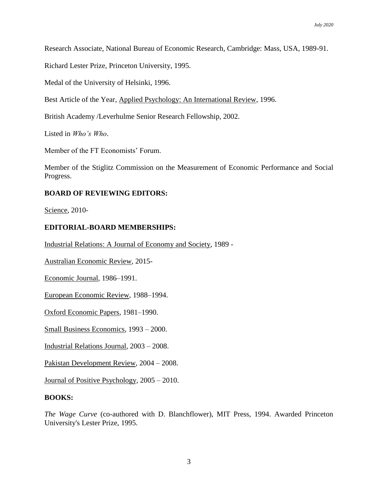Research Associate, National Bureau of Economic Research, Cambridge: Mass, USA, 1989-91.

Richard Lester Prize, Princeton University, 1995.

Medal of the University of Helsinki, 1996.

Best Article of the Year, Applied Psychology: An International Review, 1996.

British Academy /Leverhulme Senior Research Fellowship, 2002.

Listed in *Who's Who*.

Member of the FT Economists' Forum.

Member of the Stiglitz Commission on the Measurement of Economic Performance and Social Progress.

## **BOARD OF REVIEWING EDITORS:**

Science, 2010-

## **EDITORIAL-BOARD MEMBERSHIPS:**

Industrial Relations: A Journal of Economy and Society, 1989 -

Australian Economic Review, 2015-

Economic Journal, 1986–1991.

European Economic Review, 1988–1994.

Oxford Economic Papers, 1981–1990.

Small Business Economics, 1993 – 2000.

Industrial Relations Journal, 2003 – 2008.

Pakistan Development Review, 2004 – 2008.

Journal of Positive Psychology, 2005 – 2010.

## **BOOKS:**

*The Wage Curve* (co-authored with D. Blanchflower), MIT Press, 1994. Awarded Princeton University's Lester Prize, 1995.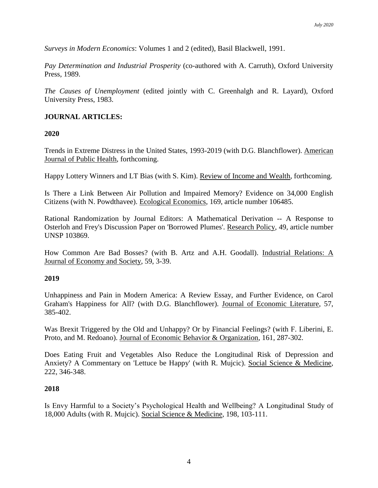*Surveys in Modern Economics*: Volumes 1 and 2 (edited), Basil Blackwell, 1991.

*Pay Determination and Industrial Prosperity* (co-authored with A. Carruth), Oxford University Press, 1989.

*The Causes of Unemployment* (edited jointly with C. Greenhalgh and R. Layard), Oxford University Press, 1983.

## **JOURNAL ARTICLES:**

**2020**

Trends in Extreme Distress in the United States, 1993-2019 (with D.G. Blanchflower). American Journal of Public Health, forthcoming.

Happy Lottery Winners and LT Bias (with S. Kim). Review of Income and Wealth, forthcoming.

Is There a Link Between Air Pollution and Impaired Memory? Evidence on 34,000 English Citizens (with N. Powdthavee). Ecological Economics, 169, article number 106485.

Rational Randomization by Journal Editors: A Mathematical Derivation -- A Response to Osterloh and Frey's Discussion Paper on 'Borrowed Plumes'. Research Policy, 49, article number UNSP 103869.

How Common Are Bad Bosses? (with B. Artz and A.H. Goodall). Industrial Relations: A Journal of Economy and Society, 59, 3-39.

## **2019**

Unhappiness and Pain in Modern America: A Review Essay, and Further Evidence, on Carol Graham's Happiness for All? (with D.G. Blanchflower). Journal of Economic Literature, 57, 385-402.

Was Brexit Triggered by the Old and Unhappy? Or by Financial Feelings? (with F. Liberini, E. Proto, and M. Redoano). Journal of Economic Behavior & Organization, 161, 287-302.

Does Eating Fruit and Vegetables Also Reduce the Longitudinal Risk of Depression and Anxiety? A Commentary on 'Lettuce be Happy' (with R. Mujcic). Social Science & Medicine, 222, 346-348.

## **2018**

Is Envy Harmful to a Society's Psychological Health and Wellbeing? A Longitudinal Study of 18,000 Adults (with R. Mujcic). Social Science & Medicine, 198, 103-111.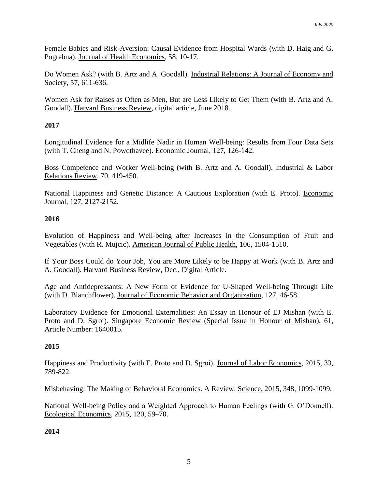Female Babies and Risk-Aversion: Causal Evidence from Hospital Wards (with D. Haig and G. Pogrebna). Journal of Health Economics, 58, 10-17.

Do Women Ask? (with B. Artz and A. Goodall). Industrial Relations: A Journal of Economy and Society, 57, 611-636.

Women Ask for Raises as Often as Men, But are Less Likely to Get Them (with B. Artz and A. Goodall). Harvard Business Review, digital article, June 2018.

# **2017**

Longitudinal Evidence for a Midlife Nadir in Human Well-being: Results from Four Data Sets (with T. Cheng and N. Powdthavee). Economic Journal, 127, 126-142.

Boss Competence and Worker Well-being (with B. Artz and A. Goodall). Industrial & Labor Relations Review, 70, 419-450.

National Happiness and Genetic Distance: A Cautious Exploration (with E. Proto). Economic Journal, 127, 2127-2152.

## **2016**

Evolution of Happiness and Well-being after Increases in the Consumption of Fruit and Vegetables (with R. Mujcic). American Journal of Public Health, 106, 1504-1510.

If Your Boss Could do Your Job, You are More Likely to be Happy at Work (with B. Artz and A. Goodall). Harvard Business Review, Dec., Digital Article.

Age and Antidepressants: A New Form of Evidence for U-Shaped Well-being Through Life (with D. Blanchflower). Journal of Economic Behavior and Organization, 127, 46-58.

Laboratory Evidence for Emotional Externalities: An Essay in Honour of EJ Mishan (with E. Proto and D. Sgroi). Singapore Economic Review (Special Issue in Honour of Mishan), 61, Article Number: 1640015.

# **2015**

Happiness and Productivity (with E. Proto and D. Sgroi). Journal of Labor Economics, 2015, 33, 789-822.

Misbehaving: The Making of Behavioral Economics. A Review. Science, 2015, 348, 1099-1099.

National Well-being Policy and a Weighted Approach to Human Feelings (with G. O'Donnell). Ecological Economics, 2015, 120, 59–70.

## **2014**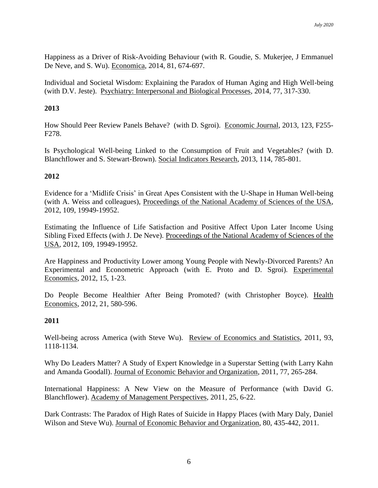Happiness as a Driver of Risk-Avoiding Behaviour (with R. Goudie, S. Mukerjee, J Emmanuel De Neve, and S. Wu). Economica, 2014, 81, 674-697.

Individual and Societal Wisdom: Explaining the Paradox of Human Aging and High Well-being (with D.V. Jeste). Psychiatry: Interpersonal and Biological Processes, 2014, 77, 317-330.

## **2013**

How Should Peer Review Panels Behave? (with D. Sgroi). Economic Journal, 2013, 123, F255- F278.

Is Psychological Well-being Linked to the Consumption of Fruit and Vegetables? (with D. Blanchflower and S. Stewart-Brown). Social Indicators Research, 2013, 114, 785-801.

## **2012**

Evidence for a 'Midlife Crisis' in Great Apes Consistent with the U-Shape in Human Well-being (with A. Weiss and colleagues), Proceedings of the National Academy of Sciences of the USA, 2012, 109, 19949-19952.

Estimating the Influence of Life Satisfaction and Positive Affect Upon Later Income Using Sibling Fixed Effects (with J. De Neve). Proceedings of the National Academy of Sciences of the USA, 2012, 109, 19949-19952.

Are Happiness and Productivity Lower among Young People with Newly-Divorced Parents? An Experimental and Econometric Approach (with E. Proto and D. Sgroi). Experimental Economics, 2012, 15, 1-23.

Do People Become Healthier After Being Promoted? (with Christopher Boyce). Health Economics, 2012, 21, 580-596.

## **2011**

Well-being across America (with Steve Wu). Review of Economics and Statistics, 2011, 93, 1118-1134.

Why Do Leaders Matter? A Study of Expert Knowledge in a Superstar Setting (with Larry Kahn and Amanda Goodall). Journal of Economic Behavior and Organization, 2011, 77, 265-284.

International Happiness: A New View on the Measure of Performance (with David G. Blanchflower). Academy of Management Perspectives, 2011, 25, 6-22.

Dark Contrasts: The Paradox of High Rates of Suicide in Happy Places (with Mary Daly, Daniel Wilson and Steve Wu). Journal of Economic Behavior and Organization, 80, 435-442, 2011.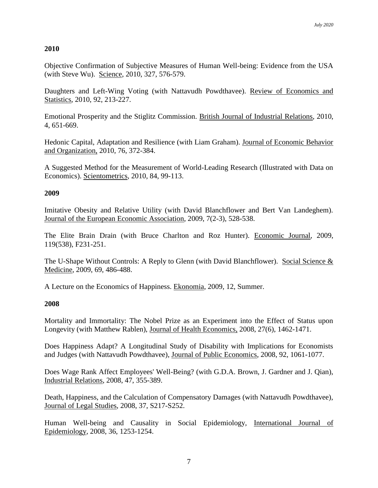## **2010**

Objective Confirmation of Subjective Measures of Human Well-being: Evidence from the USA (with Steve Wu). Science, 2010, 327, 576-579.

Daughters and Left-Wing Voting (with Nattavudh Powdthavee). Review of Economics and Statistics, 2010, 92, 213-227.

Emotional Prosperity and the Stiglitz Commission. British Journal of Industrial Relations, 2010, 4, 651-669.

Hedonic Capital, Adaptation and Resilience (with Liam Graham). Journal of Economic Behavior and Organization, 2010, 76, 372-384.

A Suggested Method for the Measurement of World-Leading Research (Illustrated with Data on Economics). Scientometrics, 2010, 84, 99-113.

## **2009**

Imitative Obesity and Relative Utility (with David Blanchflower and Bert Van Landeghem). Journal of the European Economic Association, 2009, 7(2-3), 528-538.

The Elite Brain Drain (with Bruce Charlton and Roz Hunter). Economic Journal, 2009, 119(538), F231-251.

The U-Shape Without Controls: A Reply to Glenn (with David Blanchflower). Social Science & Medicine, 2009, 69, 486-488.

A Lecture on the Economics of Happiness. Ekonomia, 2009, 12, Summer.

## **2008**

Mortality and Immortality: The Nobel Prize as an Experiment into the Effect of Status upon Longevity (with Matthew Rablen), Journal of Health Economics, 2008, 27(6), 1462-1471.

Does Happiness Adapt? A Longitudinal Study of Disability with Implications for Economists and Judges (with Nattavudh Powdthavee), Journal of Public Economics, 2008, 92, 1061-1077.

Does Wage Rank Affect Employees' Well-Being? (with G.D.A. Brown, J. Gardner and J. Qian), Industrial Relations, 2008, 47, 355-389.

Death, Happiness, and the Calculation of Compensatory Damages (with Nattavudh Powdthavee), Journal of Legal Studies, 2008, 37, S217-S252.

Human Well-being and Causality in Social Epidemiology, International Journal of Epidemiology, 2008, 36, 1253-1254.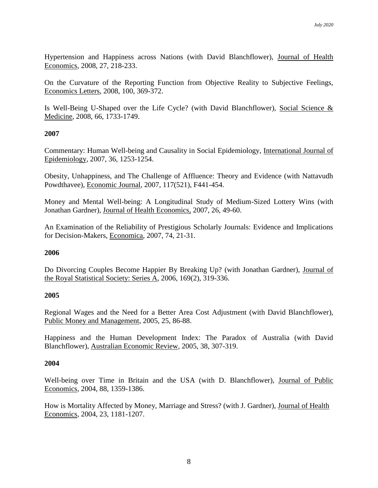Hypertension and Happiness across Nations (with David Blanchflower), Journal of Health Economics, 2008, 27, 218-233.

On the Curvature of the Reporting Function from Objective Reality to Subjective Feelings, Economics Letters, 2008, 100, 369-372.

Is Well-Being U-Shaped over the Life Cycle? (with David Blanchflower), Social Science & Medicine, 2008, 66, 1733-1749.

## **2007**

Commentary: Human Well-being and Causality in Social Epidemiology, International Journal of Epidemiology, 2007, 36, 1253-1254.

Obesity, Unhappiness, and The Challenge of Affluence: Theory and Evidence (with Nattavudh Powdthavee), Economic Journal, 2007, 117(521), F441-454.

Money and Mental Well-being: A Longitudinal Study of Medium-Sized Lottery Wins (with Jonathan Gardner), Journal of Health Economics, 2007, 26, 49-60.

An Examination of the Reliability of Prestigious Scholarly Journals: Evidence and Implications for Decision-Makers, Economica, 2007, 74, 21-31.

## **2006**

Do Divorcing Couples Become Happier By Breaking Up? (with Jonathan Gardner), Journal of the Royal Statistical Society: Series A, 2006, 169(2), 319-336.

## **2005**

Regional Wages and the Need for a Better Area Cost Adjustment (with David Blanchflower), Public Money and Management, 2005, 25, 86-88.

Happiness and the Human Development Index: The Paradox of Australia (with David Blanchflower), Australian Economic Review, 2005, 38, 307-319.

## **2004**

Well-being over Time in Britain and the USA (with D. Blanchflower), Journal of Public Economics, 2004, 88, 1359-1386.

How is Mortality Affected by Money, Marriage and Stress? (with J. Gardner), Journal of Health Economics, 2004, 23, 1181-1207.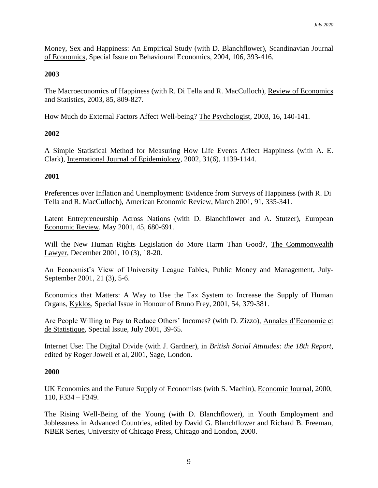Money, Sex and Happiness: An Empirical Study (with D. Blanchflower), Scandinavian Journal of Economics, Special Issue on Behavioural Economics, 2004, 106, 393-416.

# **2003**

The Macroeconomics of Happiness (with R. Di Tella and R. MacCulloch), Review of Economics and Statistics, 2003, 85, 809-827.

How Much do External Factors Affect Well-being? The Psychologist, 2003, 16, 140-141.

## **2002**

A Simple Statistical Method for Measuring How Life Events Affect Happiness (with A. E. Clark), International Journal of Epidemiology, 2002, 31(6), 1139-1144.

## **2001**

Preferences over Inflation and Unemployment: Evidence from Surveys of Happiness (with R. Di Tella and R. MacCulloch), American Economic Review, March 2001, 91, 335-341.

Latent Entrepreneurship Across Nations (with D. Blanchflower and A. Stutzer), European Economic Review, May 2001, 45, 680-691.

Will the New Human Rights Legislation do More Harm Than Good?, The Commonwealth Lawyer, December 2001, 10 (3), 18-20.

An Economist's View of University League Tables, Public Money and Management, July-September 2001, 21 (3), 5-6.

Economics that Matters: A Way to Use the Tax System to Increase the Supply of Human Organs, Kyklos, Special Issue in Honour of Bruno Frey, 2001, 54, 379-381.

Are People Willing to Pay to Reduce Others' Incomes? (with D. Zizzo), Annales d'Economie et de Statistique, Special Issue, July 2001, 39-65.

Internet Use: The Digital Divide (with J. Gardner), in *British Social Attitudes: the 18th Report*, edited by Roger Jowell et al, 2001, Sage, London.

## **2000**

UK Economics and the Future Supply of Economists (with S. Machin), Economic Journal, 2000, 110, F334 – F349.

The Rising Well-Being of the Young (with D. Blanchflower), in Youth Employment and Joblessness in Advanced Countries, edited by David G. Blanchflower and Richard B. Freeman, NBER Series, University of Chicago Press, Chicago and London, 2000.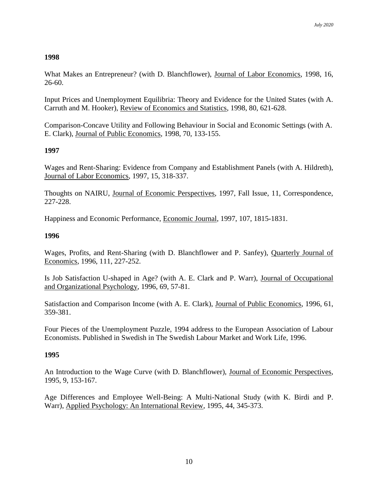# **1998**

What Makes an Entrepreneur? (with D. Blanchflower), Journal of Labor Economics, 1998, 16, 26-60.

Input Prices and Unemployment Equilibria: Theory and Evidence for the United States (with A. Carruth and M. Hooker), Review of Economics and Statistics, 1998, 80, 621-628.

Comparison-Concave Utility and Following Behaviour in Social and Economic Settings (with A. E. Clark), Journal of Public Economics, 1998, 70, 133-155.

## **1997**

Wages and Rent-Sharing: Evidence from Company and Establishment Panels (with A. Hildreth), Journal of Labor Economics, 1997, 15, 318-337.

Thoughts on NAIRU, Journal of Economic Perspectives, 1997, Fall Issue, 11, Correspondence, 227-228.

Happiness and Economic Performance, Economic Journal, 1997, 107, 1815-1831.

## **1996**

Wages, Profits, and Rent-Sharing (with D. Blanchflower and P. Sanfey), Quarterly Journal of Economics, 1996, 111, 227-252.

Is Job Satisfaction U-shaped in Age? (with A. E. Clark and P. Warr), Journal of Occupational and Organizational Psychology, 1996, 69, 57-81.

Satisfaction and Comparison Income (with A. E. Clark), Journal of Public Economics, 1996, 61, 359-381.

Four Pieces of the Unemployment Puzzle, 1994 address to the European Association of Labour Economists. Published in Swedish in The Swedish Labour Market and Work Life, 1996.

## **1995**

An Introduction to the Wage Curve (with D. Blanchflower), Journal of Economic Perspectives, 1995, 9, 153-167.

Age Differences and Employee Well-Being: A Multi-National Study (with K. Birdi and P. Warr), Applied Psychology: An International Review, 1995, 44, 345-373.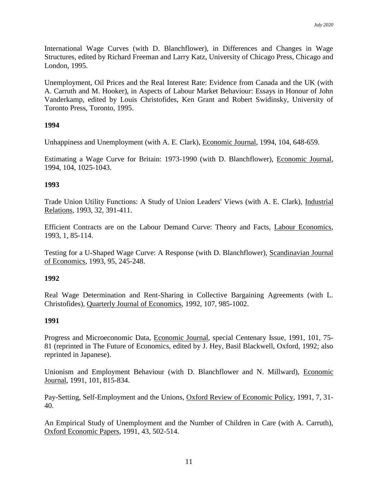International Wage Curves (with D. Blanchflower), in Differences and Changes in Wage Structures, edited by Richard Freeman and Larry Katz, University of Chicago Press, Chicago and London, 1995.

Unemployment, Oil Prices and the Real Interest Rate: Evidence from Canada and the UK (with A. Carruth and M. Hooker), in Aspects of Labour Market Behaviour: Essays in Honour of John Vanderkamp, edited by Louis Christofides, Ken Grant and Robert Swidinsky, University of Toronto Press, Toronto, 1995.

## **1994**

Unhappiness and Unemployment (with A. E. Clark), Economic Journal, 1994, 104, 648-659.

Estimating a Wage Curve for Britain: 1973-1990 (with D. Blanchflower), Economic Journal, 1994, 104, 1025-1043.

## **1993**

Trade Union Utility Functions: A Study of Union Leaders' Views (with A. E. Clark), Industrial Relations, 1993, 32, 391-411.

Efficient Contracts are on the Labour Demand Curve: Theory and Facts, Labour Economics, 1993, 1, 85-114.

Testing for a U-Shaped Wage Curve: A Response (with D. Blanchflower), Scandinavian Journal of Economics, 1993, 95, 245-248.

## **1992**

Real Wage Determination and Rent-Sharing in Collective Bargaining Agreements (with L. Christofides), Quarterly Journal of Economics, 1992, 107, 985-1002.

## **1991**

Progress and Microeconomic Data, Economic Journal, special Centenary Issue, 1991, 101, 75- 81 (reprinted in The Future of Economics, edited by J. Hey, Basil Blackwell, Oxford, 1992; also reprinted in Japanese).

Unionism and Employment Behaviour (with D. Blanchflower and N. Millward), Economic Journal, 1991, 101, 815-834.

Pay-Setting, Self-Employment and the Unions, Oxford Review of Economic Policy, 1991, 7, 31- 40.

An Empirical Study of Unemployment and the Number of Children in Care (with A. Carruth), Oxford Economic Papers, 1991, 43, 502-514.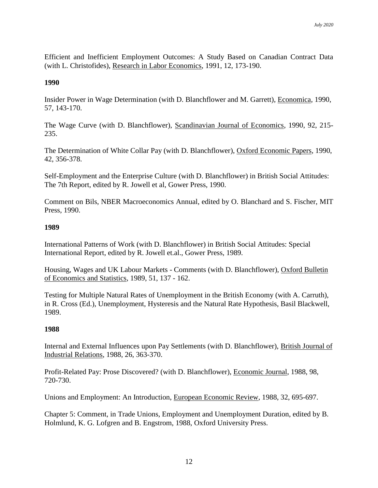Efficient and Inefficient Employment Outcomes: A Study Based on Canadian Contract Data (with L. Christofides), Research in Labor Economics, 1991, 12, 173-190.

## **1990**

Insider Power in Wage Determination (with D. Blanchflower and M. Garrett), Economica, 1990, 57, 143-170.

The Wage Curve (with D. Blanchflower), Scandinavian Journal of Economics, 1990, 92, 215- 235.

The Determination of White Collar Pay (with D. Blanchflower), Oxford Economic Papers, 1990, 42, 356-378.

Self-Employment and the Enterprise Culture (with D. Blanchflower) in British Social Attitudes: The 7th Report, edited by R. Jowell et al, Gower Press, 1990.

Comment on Bils, NBER Macroeconomics Annual, edited by O. Blanchard and S. Fischer, MIT Press, 1990.

## **1989**

International Patterns of Work (with D. Blanchflower) in British Social Attitudes: Special International Report, edited by R. Jowell et.al., Gower Press, 1989.

Housing, Wages and UK Labour Markets - Comments (with D. Blanchflower), Oxford Bulletin of Economics and Statistics, 1989, 51, 137 - 162.

Testing for Multiple Natural Rates of Unemployment in the British Economy (with A. Carruth), in R. Cross (Ed.), Unemployment, Hysteresis and the Natural Rate Hypothesis, Basil Blackwell, 1989.

## **1988**

Internal and External Influences upon Pay Settlements (with D. Blanchflower), British Journal of Industrial Relations, 1988, 26, 363-370.

Profit-Related Pay: Prose Discovered? (with D. Blanchflower), Economic Journal, 1988, 98, 720-730.

Unions and Employment: An Introduction, European Economic Review, 1988, 32, 695-697.

Chapter 5: Comment, in Trade Unions, Employment and Unemployment Duration, edited by B. Holmlund, K. G. Lofgren and B. Engstrom, 1988, Oxford University Press.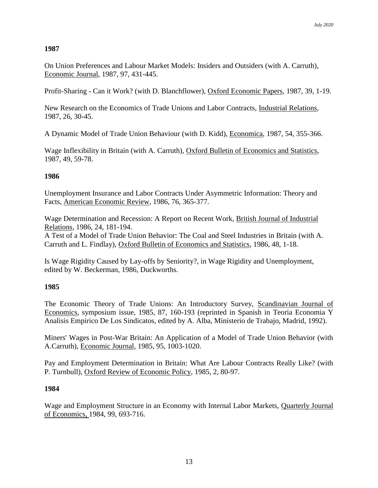# **1987**

On Union Preferences and Labour Market Models: Insiders and Outsiders (with A. Carruth), Economic Journal, 1987, 97, 431-445.

Profit-Sharing - Can it Work? (with D. Blanchflower), Oxford Economic Papers, 1987, 39, 1-19.

New Research on the Economics of Trade Unions and Labor Contracts, Industrial Relations, 1987, 26, 30-45.

A Dynamic Model of Trade Union Behaviour (with D. Kidd), Economica, 1987, 54, 355-366.

Wage Inflexibility in Britain (with A. Carruth), Oxford Bulletin of Economics and Statistics, 1987, 49, 59-78.

## **1986**

Unemployment Insurance and Labor Contracts Under Asymmetric Information: Theory and Facts, American Economic Review, 1986, 76, 365-377.

Wage Determination and Recession: A Report on Recent Work, British Journal of Industrial Relations, 1986, 24, 181-194.

A Test of a Model of Trade Union Behavior: The Coal and Steel Industries in Britain (with A. Carruth and L. Findlay), Oxford Bulletin of Economics and Statistics, 1986, 48, 1-18.

Is Wage Rigidity Caused by Lay-offs by Seniority?, in Wage Rigidity and Unemployment, edited by W. Beckerman, 1986, Duckworths.

# **1985**

The Economic Theory of Trade Unions: An Introductory Survey, Scandinavian Journal of Economics, symposium issue, 1985, 87, 160-193 (reprinted in Spanish in Teoria Economia Y Analisis Empirico De Los Sindicatos, edited by A. Alba, Ministerio de Trabajo, Madrid, 1992).

Miners' Wages in Post-War Britain: An Application of a Model of Trade Union Behavior (with A.Carruth), Economic Journal, 1985, 95, 1003-1020.

Pay and Employment Determination in Britain: What Are Labour Contracts Really Like? (with P. Turnbull), Oxford Review of Economic Policy, 1985, 2, 80-97.

## **1984**

Wage and Employment Structure in an Economy with Internal Labor Markets, Quarterly Journal of Economics, 1984, 99, 693-716.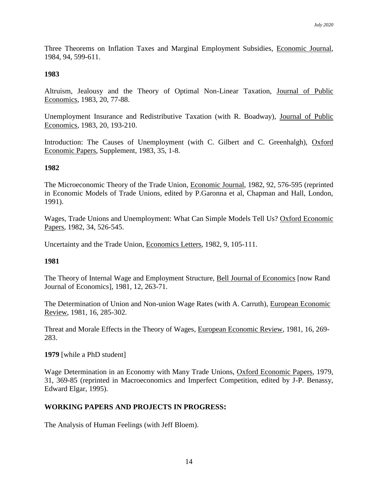Three Theorems on Inflation Taxes and Marginal Employment Subsidies, Economic Journal, 1984, 94, 599-611.

## **1983**

Altruism, Jealousy and the Theory of Optimal Non-Linear Taxation, Journal of Public Economics, 1983, 20, 77-88.

Unemployment Insurance and Redistributive Taxation (with R. Boadway), Journal of Public Economics, 1983, 20, 193-210.

Introduction: The Causes of Unemployment (with C. Gilbert and C. Greenhalgh), Oxford Economic Papers, Supplement, 1983, 35, 1-8.

## **1982**

The Microeconomic Theory of the Trade Union, Economic Journal, 1982, 92, 576-595 (reprinted in Economic Models of Trade Unions, edited by P.Garonna et al, Chapman and Hall, London, 1991).

Wages, Trade Unions and Unemployment: What Can Simple Models Tell Us? Oxford Economic Papers, 1982, 34, 526-545.

Uncertainty and the Trade Union, Economics Letters, 1982, 9, 105-111.

# **1981**

The Theory of Internal Wage and Employment Structure, Bell Journal of Economics [now Rand Journal of Economics], 1981, 12, 263-71.

The Determination of Union and Non-union Wage Rates (with A. Carruth), European Economic Review, 1981, 16, 285-302.

Threat and Morale Effects in the Theory of Wages, European Economic Review, 1981, 16, 269- 283.

**1979** [while a PhD student]

Wage Determination in an Economy with Many Trade Unions, Oxford Economic Papers, 1979, 31, 369-85 (reprinted in Macroeconomics and Imperfect Competition, edited by J-P. Benassy, Edward Elgar, 1995).

# **WORKING PAPERS AND PROJECTS IN PROGRESS:**

The Analysis of Human Feelings (with Jeff Bloem).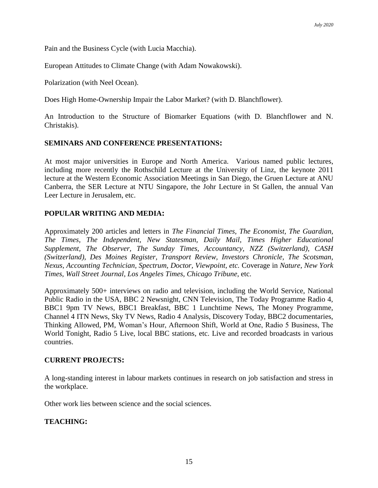Pain and the Business Cycle (with Lucia Macchia).

European Attitudes to Climate Change (with Adam Nowakowski).

Polarization (with Neel Ocean).

Does High Home-Ownership Impair the Labor Market? (with D. Blanchflower).

An Introduction to the Structure of Biomarker Equations (with D. Blanchflower and N. Christakis).

## **SEMINARS AND CONFERENCE PRESENTATIONS:**

At most major universities in Europe and North America. Various named public lectures, including more recently the Rothschild Lecture at the University of Linz, the keynote 2011 lecture at the Western Economic Association Meetings in San Diego, the Gruen Lecture at ANU Canberra, the SER Lecture at NTU Singapore, the Johr Lecture in St Gallen, the annual Van Leer Lecture in Jerusalem, etc.

## **POPULAR WRITING AND MEDIA:**

Approximately 200 articles and letters in *The Financial Times, The Economist, The Guardian, The Times, The Independent, New Statesman, Daily Mail, Times Higher Educational Supplement, The Observer, The Sunday Times, Accountancy, NZZ (Switzerland), CASH (Switzerland), Des Moines Register, Transport Review, Investors Chronicle, The Scotsman, Nexus, Accounting Technician, Spectrum, Doctor, Viewpoint, etc.* Coverage in *Nature*, *New York Times, Wall Street Journal*, *Los Angeles Times*, *Chicago Tribune*, etc.

Approximately 500+ interviews on radio and television, including the World Service, National Public Radio in the USA, BBC 2 Newsnight, CNN Television, The Today Programme Radio 4, BBC1 9pm TV News, BBC1 Breakfast, BBC 1 Lunchtime News, The Money Programme, Channel 4 ITN News, Sky TV News, Radio 4 Analysis, Discovery Today, BBC2 documentaries, Thinking Allowed, PM, Woman's Hour, Afternoon Shift, World at One, Radio 5 Business, The World Tonight, Radio 5 Live, local BBC stations, etc. Live and recorded broadcasts in various countries.

## **CURRENT PROJECTS:**

A long-standing interest in labour markets continues in research on job satisfaction and stress in the workplace.

Other work lies between science and the social sciences.

## **TEACHING:**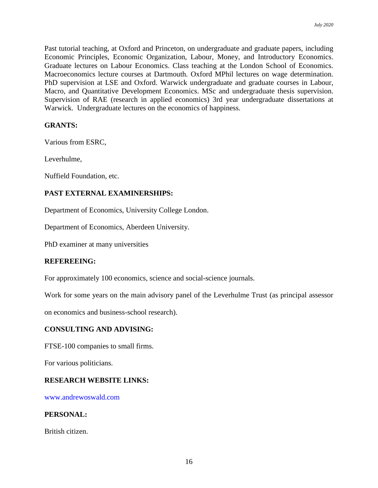Past tutorial teaching, at Oxford and Princeton, on undergraduate and graduate papers, including Economic Principles, Economic Organization, Labour, Money, and Introductory Economics. Graduate lectures on Labour Economics. Class teaching at the London School of Economics. Macroeconomics lecture courses at Dartmouth. Oxford MPhil lectures on wage determination. PhD supervision at LSE and Oxford. Warwick undergraduate and graduate courses in Labour, Macro, and Quantitative Development Economics. MSc and undergraduate thesis supervision. Supervision of RAE (research in applied economics) 3rd year undergraduate dissertations at Warwick. Undergraduate lectures on the economics of happiness.

#### **GRANTS:**

Various from ESRC,

Leverhulme,

Nuffield Foundation, etc.

## **PAST EXTERNAL EXAMINERSHIPS:**

Department of Economics, University College London.

Department of Economics, Aberdeen University.

PhD examiner at many universities

## **REFEREEING:**

For approximately 100 economics, science and social-science journals.

Work for some years on the main advisory panel of the Leverhulme Trust (as principal assessor

on economics and business-school research).

#### **CONSULTING AND ADVISING:**

FTSE-100 companies to small firms.

For various politicians.

#### **RESEARCH WEBSITE LINKS:**

www.andrewoswald.com

## **PERSONAL:**

British citizen.